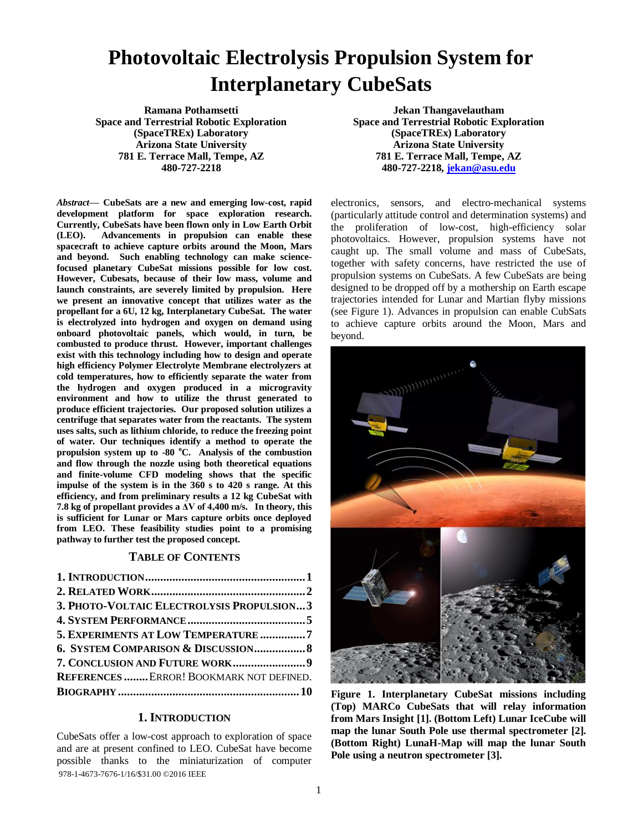# **Photovoltaic Electrolysis Propulsion System for Interplanetary CubeSats**

**Ramana Pothamsetti Space and Terrestrial Robotic Exploration (SpaceTREx) Laboratory Arizona State University 781 E. Terrace Mall, Tempe, AZ 480-727-2218**

*Abstract***— CubeSats are a new and emerging low-cost, rapid development platform for space exploration research. Currently, CubeSats have been flown only in Low Earth Orbit (LEO). Advancements in propulsion can enable these spacecraft to achieve capture orbits around the Moon, Mars and beyond. Such enabling technology can make sciencefocused planetary CubeSat missions possible for low cost. However, Cubesats, because of their low mass, volume and launch constraints, are severely limited by propulsion. Here we present an innovative concept that utilizes water as the propellant for a 6U, 12 kg, Interplanetary CubeSat. The water is electrolyzed into hydrogen and oxygen on demand using onboard photovoltaic panels, which would, in turn, be combusted to produce thrust. However, important challenges exist with this technology including how to design and operate high efficiency Polymer Electrolyte Membrane electrolyzers at cold temperatures, how to efficiently separate the water from the hydrogen and oxygen produced in a microgravity environment and how to utilize the thrust generated to produce efficient trajectories. Our proposed solution utilizes a centrifuge that separates water from the reactants. The system uses salts, such as lithium chloride, to reduce the freezing point of water. Our techniques identify a method to operate the propulsion system up to -80 <sup>o</sup>C. Analysis of the combustion and flow through the nozzle using both theoretical equations and finite-volume CFD modeling shows that the specific impulse of the system is in the 360 s to 420 s range. At this efficiency, and from preliminary results a 12 kg CubeSat with 7.8 kg of propellant provides a ΔV of 4,400 m/s. In theory, this is sufficient for Lunar or Mars capture orbits once deployed from LEO. These feasibility studies point to a promising pathway to further test the proposed concept.**

## **TABLE OF CONTENTS**

| 3. PHOTO-VOLTAIC ELECTROLYSIS PROPULSION 3 |  |
|--------------------------------------------|--|
|                                            |  |
| 5. EXPERIMENTS AT LOW TEMPERATURE 7        |  |
| 6. SYSTEM COMPARISON & DISCUSSION 8        |  |
|                                            |  |
| REFERENCES  ERROR! BOOKMARK NOT DEFINED.   |  |
|                                            |  |

# **1. INTRODUCTION**

<span id="page-0-0"></span>978-1-4673-7676-1/16/\$31.00 ©2016 IEEE CubeSats offer a low-cost approach to exploration of space and are at present confined to LEO. CubeSat have become possible thanks to the miniaturization of computer

**Jekan Thangavelautham Space and Terrestrial Robotic Exploration (SpaceTREx) Laboratory Arizona State University 781 E. Terrace Mall, Tempe, AZ 480-727-2218, [jekan@asu.edu](mailto:jekan@asu.edu)**

electronics, sensors, and electro-mechanical systems (particularly attitude control and determination systems) and the proliferation of low-cost, high-efficiency solar photovoltaics. However, propulsion systems have not caught up. The small volume and mass of CubeSats, together with safety concerns, have restricted the use of propulsion systems on CubeSats. A few CubeSats are being designed to be dropped off by a mothership on Earth escape trajectories intended for Lunar and Martian flyby missions (see Figure 1). Advances in propulsion can enable CubSats to achieve capture orbits around the Moon, Mars and beyond.



**Figure 1. Interplanetary CubeSat missions including (Top) MARCo CubeSats that will relay information from Mars Insight [1]. (Bottom Left) Lunar IceCube will map the lunar South Pole use thermal spectrometer [2]. (Bottom Right) LunaH-Map will map the lunar South Pole using a neutron spectrometer [3].**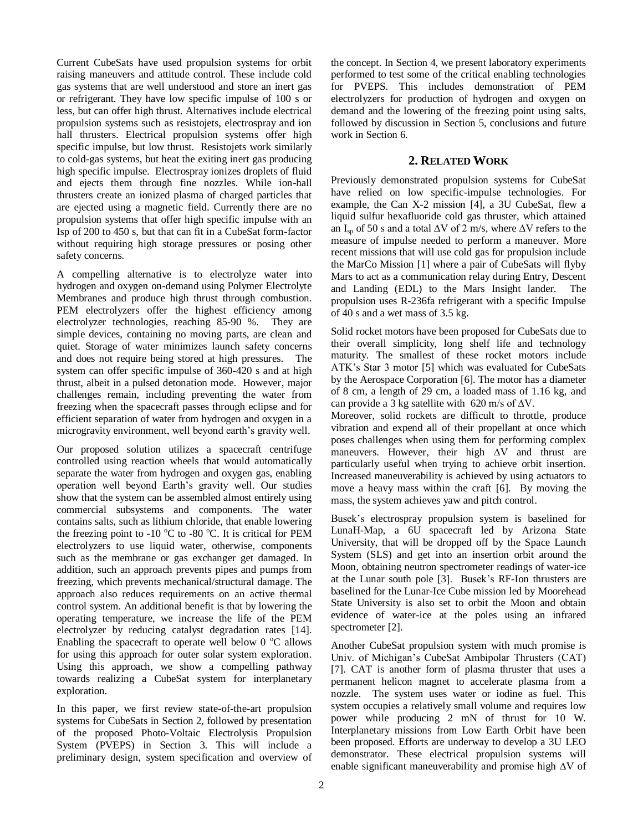Current CubeSats have used propulsion systems for orbit raising maneuvers and attitude control. These include cold gas systems that are well understood and store an inert gas or refrigerant. They have low specific impulse of 100 s or less, but can offer high thrust. Alternatives include electrical propulsion systems such as resistojets, electrospray and ion hall thrusters. Electrical propulsion systems offer high specific impulse, but low thrust. Resistojets work similarly to cold-gas systems, but heat the exiting inert gas producing high specific impulse. Electrospray ionizes droplets of fluid and ejects them through fine nozzles. While ion-hall thrusters create an ionized plasma of charged particles that are ejected using a magnetic field. Currently there are no propulsion systems that offer high specific impulse with an Isp of 200 to 450 s, but that can fit in a CubeSat form-factor without requiring high storage pressures or posing other safety concerns.

A compelling alternative is to electrolyze water into hydrogen and oxygen on-demand using Polymer Electrolyte Membranes and produce high thrust through combustion. PEM electrolyzers offer the highest efficiency among electrolyzer technologies, reaching 85-90 %. They are simple devices, containing no moving parts, are clean and quiet. Storage of water minimizes launch safety concerns and does not require being stored at high pressures. The system can offer specific impulse of 360-420 s and at high thrust, albeit in a pulsed detonation mode. However, major challenges remain, including preventing the water from freezing when the spacecraft passes through eclipse and for efficient separation of water from hydrogen and oxygen in a microgravity environment, well beyond earth's gravity well.

Our proposed solution utilizes a spacecraft centrifuge controlled using reaction wheels that would automatically separate the water from hydrogen and oxygen gas, enabling operation well beyond Earth's gravity well. Our studies show that the system can be assembled almost entirely using commercial subsystems and components. The water contains salts, such as lithium chloride, that enable lowering the freezing point to -10  $^{\circ}$ C to -80  $^{\circ}$ C. It is critical for PEM electrolyzers to use liquid water, otherwise, components such as the membrane or gas exchanger get damaged. In addition, such an approach prevents pipes and pumps from freezing, which prevents mechanical/structural damage. The approach also reduces requirements on an active thermal control system. An additional benefit is that by lowering the operating temperature, we increase the life of the PEM electrolyzer by reducing catalyst degradation rates [14]. Enabling the spacecraft to operate well below  $0^{\circ}$ C allows for using this approach for outer solar system exploration. Using this approach, we show a compelling pathway towards realizing a CubeSat system for interplanetary exploration.

In this paper, we first review state-of-the-art propulsion systems for CubeSats in Section 2, followed by presentation of the proposed Photo-Voltaic Electrolysis Propulsion System (PVEPS) in Section 3. This will include a preliminary design, system specification and overview of the concept. In Section 4, we present laboratory experiments performed to test some of the critical enabling technologies for PVEPS. This includes demonstration of PEM electrolyzers for production of hydrogen and oxygen on demand and the lowering of the freezing point using salts, followed by discussion in Section 5, conclusions and future work in Section 6.

# **2. RELATED WORK**

<span id="page-1-0"></span>Previously demonstrated propulsion systems for CubeSat have relied on low specific-impulse technologies. For example, the Can X-2 mission [4], a 3U CubeSat, flew a liquid sulfur hexafluoride cold gas thruster, which attained an I<sub>sp</sub> of 50 s and a total  $\Delta V$  of 2 m/s, where  $\Delta V$  refers to the measure of impulse needed to perform a maneuver. More recent missions that will use cold gas for propulsion include the MarCo Mission [1] where a pair of CubeSats will flyby Mars to act as a communication relay during Entry, Descent and Landing (EDL) to the Mars Insight lander. The propulsion uses R-236fa refrigerant with a specific Impulse of 40 s and a wet mass of 3.5 kg.

Solid rocket motors have been proposed for CubeSats due to their overall simplicity, long shelf life and technology maturity. The smallest of these rocket motors include ATK's Star 3 motor [5] which was evaluated for CubeSats by the Aerospace Corporation [6]. The motor has a diameter of 8 cm, a length of 29 cm, a loaded mass of 1.16 kg, and can provide a 3 kg satellite with 620 m/s of  $\Delta V$ .

Moreover, solid rockets are difficult to throttle, produce vibration and expend all of their propellant at once which poses challenges when using them for performing complex maneuvers. However, their high ∆V and thrust are particularly useful when trying to achieve orbit insertion. Increased maneuverability is achieved by using actuators to move a heavy mass within the craft [6]. By moving the mass, the system achieves yaw and pitch control.

Busek's electrospray propulsion system is baselined for LunaH-Map, a 6U spacecraft led by Arizona State University, that will be dropped off by the Space Launch System (SLS) and get into an insertion orbit around the Moon, obtaining neutron spectrometer readings of water-ice at the Lunar south pole [3]. Busek's RF-Ion thrusters are baselined for the Lunar-Ice Cube mission led by Moorehead State University is also set to orbit the Moon and obtain evidence of water-ice at the poles using an infrared spectrometer [2].

Another CubeSat propulsion system with much promise is Univ. of Michigan's CubeSat Ambipolar Thrusters (CAT) [7]. CAT is another form of plasma thruster that uses a permanent helicon magnet to accelerate plasma from a nozzle. The system uses water or iodine as fuel. This system occupies a relatively small volume and requires low power while producing 2 mN of thrust for 10 W. Interplanetary missions from Low Earth Orbit have been been proposed. Efforts are underway to develop a 3U LEO demonstrator. These electrical propulsion systems will enable significant maneuverability and promise high ∆V of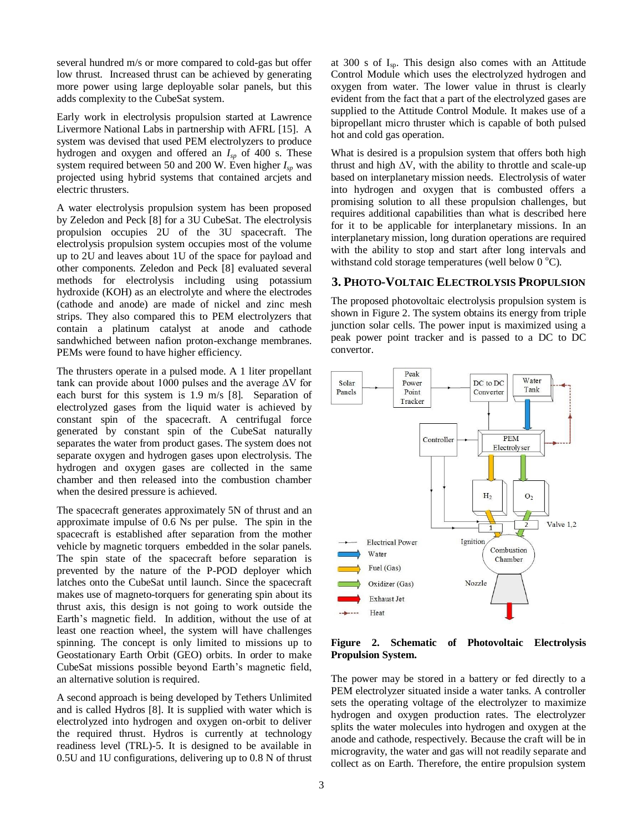several hundred m/s or more compared to cold-gas but offer low thrust. Increased thrust can be achieved by generating more power using large deployable solar panels, but this adds complexity to the CubeSat system.

Early work in electrolysis propulsion started at Lawrence Livermore National Labs in partnership with AFRL [15]. A system was devised that used PEM electrolyzers to produce hydrogen and oxygen and offered an *Isp* of 400 s. These system required between 50 and 200 W. Even higher *Isp* was projected using hybrid systems that contained arcjets and electric thrusters.

A water electrolysis propulsion system has been proposed by Zeledon and Peck [8] for a 3U CubeSat. The electrolysis propulsion occupies 2U of the 3U spacecraft. The electrolysis propulsion system occupies most of the volume up to 2U and leaves about 1U of the space for payload and other components. Zeledon and Peck [8] evaluated several methods for electrolysis including using potassium hydroxide (KOH) as an electrolyte and where the electrodes (cathode and anode) are made of nickel and zinc mesh strips. They also compared this to PEM electrolyzers that contain a platinum catalyst at anode and cathode sandwhiched between nafion proton-exchange membranes. PEMs were found to have higher efficiency.

The thrusters operate in a pulsed mode. A 1 liter propellant tank can provide about 1000 pulses and the average ∆V for each burst for this system is 1.9 m/s [8]. Separation of electrolyzed gases from the liquid water is achieved by constant spin of the spacecraft. A centrifugal force generated by constant spin of the CubeSat naturally separates the water from product gases. The system does not separate oxygen and hydrogen gases upon electrolysis. The hydrogen and oxygen gases are collected in the same chamber and then released into the combustion chamber when the desired pressure is achieved.

The spacecraft generates approximately 5N of thrust and an approximate impulse of 0.6 Ns per pulse. The spin in the spacecraft is established after separation from the mother vehicle by magnetic torquers embedded in the solar panels. The spin state of the spacecraft before separation is prevented by the nature of the P-POD deployer which latches onto the CubeSat until launch. Since the spacecraft makes use of magneto-torquers for generating spin about its thrust axis, this design is not going to work outside the Earth's magnetic field. In addition, without the use of at least one reaction wheel, the system will have challenges spinning. The concept is only limited to missions up to Geostationary Earth Orbit (GEO) orbits. In order to make CubeSat missions possible beyond Earth's magnetic field, an alternative solution is required.

A second approach is being developed by Tethers Unlimited and is called Hydros [8]. It is supplied with water which is electrolyzed into hydrogen and oxygen on-orbit to deliver the required thrust. Hydros is currently at technology readiness level (TRL)-5. It is designed to be available in 0.5U and 1U configurations, delivering up to 0.8 N of thrust at 300 s of  $I_{\text{sp}}$ . This design also comes with an Attitude Control Module which uses the electrolyzed hydrogen and oxygen from water. The lower value in thrust is clearly evident from the fact that a part of the electrolyzed gases are supplied to the Attitude Control Module. It makes use of a bipropellant micro thruster which is capable of both pulsed hot and cold gas operation.

What is desired is a propulsion system that offers both high thrust and high  $\Delta V$ , with the ability to throttle and scale-up based on interplanetary mission needs. Electrolysis of water into hydrogen and oxygen that is combusted offers a promising solution to all these propulsion challenges, but requires additional capabilities than what is described here for it to be applicable for interplanetary missions. In an interplanetary mission, long duration operations are required with the ability to stop and start after long intervals and withstand cold storage temperatures (well below  $0^{\circ}$ C).

# <span id="page-2-0"></span>**3. PHOTO-VOLTAIC ELECTROLYSIS PROPULSION**

The proposed photovoltaic electrolysis propulsion system is shown in Figure 2. The system obtains its energy from triple junction solar cells. The power input is maximized using a peak power point tracker and is passed to a DC to DC convertor.



## **Figure 2. Schematic of Photovoltaic Electrolysis Propulsion System.**

The power may be stored in a battery or fed directly to a PEM electrolyzer situated inside a water tanks. A controller sets the operating voltage of the electrolyzer to maximize hydrogen and oxygen production rates. The electrolyzer splits the water molecules into hydrogen and oxygen at the anode and cathode, respectively. Because the craft will be in microgravity, the water and gas will not readily separate and collect as on Earth. Therefore, the entire propulsion system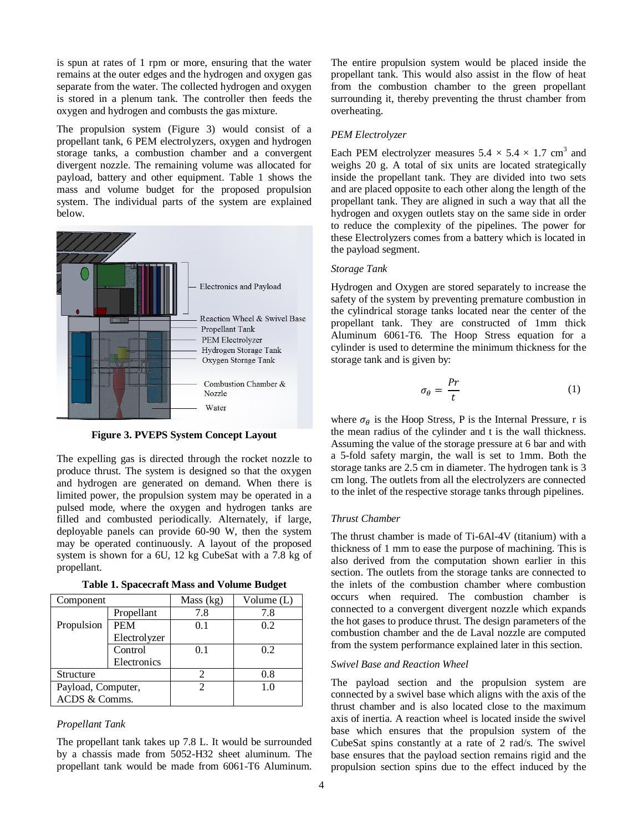is spun at rates of 1 rpm or more, ensuring that the water remains at the outer edges and the hydrogen and oxygen gas separate from the water. The collected hydrogen and oxygen is stored in a plenum tank. The controller then feeds the oxygen and hydrogen and combusts the gas mixture.

The propulsion system (Figure 3) would consist of a propellant tank, 6 PEM electrolyzers, oxygen and hydrogen storage tanks, a combustion chamber and a convergent divergent nozzle. The remaining volume was allocated for payload, battery and other equipment. Table 1 shows the mass and volume budget for the proposed propulsion system. The individual parts of the system are explained below.



**Figure 3. PVEPS System Concept Layout**

The expelling gas is directed through the rocket nozzle to produce thrust. The system is designed so that the oxygen and hydrogen are generated on demand. When there is limited power, the propulsion system may be operated in a pulsed mode, where the oxygen and hydrogen tanks are filled and combusted periodically. Alternately, if large, deployable panels can provide 60-90 W, then the system may be operated continuously. A layout of the proposed system is shown for a 6U, 12 kg CubeSat with a 7.8 kg of propellant.

|  | <b>Table 1. Spacecraft Mass and Volume Budget</b> |  |  |  |
|--|---------------------------------------------------|--|--|--|
|--|---------------------------------------------------|--|--|--|

| Component          |              | Mass $(kg)$ | Volume (L) |
|--------------------|--------------|-------------|------------|
|                    | Propellant   | 7.8         | 7.8        |
| Propulsion         | <b>PEM</b>   | 0.1         | 0.2        |
|                    | Electrolyzer |             |            |
|                    | Control      | 0.1         | 0.2        |
|                    | Electronics  |             |            |
| Structure          |              |             | 0.8        |
| Payload, Computer, |              |             | 1.0        |
| ACDS & Comms.      |              |             |            |

## *Propellant Tank*

The propellant tank takes up 7.8 L. It would be surrounded by a chassis made from 5052-H32 sheet aluminum. The propellant tank would be made from 6061-T6 Aluminum. The entire propulsion system would be placed inside the propellant tank. This would also assist in the flow of heat from the combustion chamber to the green propellant surrounding it, thereby preventing the thrust chamber from overheating.

#### *PEM Electrolyzer*

Each PEM electrolyzer measures  $5.4 \times 5.4 \times 1.7$  cm<sup>3</sup> and weighs 20 g. A total of six units are located strategically inside the propellant tank. They are divided into two sets and are placed opposite to each other along the length of the propellant tank. They are aligned in such a way that all the hydrogen and oxygen outlets stay on the same side in order to reduce the complexity of the pipelines. The power for these Electrolyzers comes from a battery which is located in the payload segment.

#### *Storage Tank*

Hydrogen and Oxygen are stored separately to increase the safety of the system by preventing premature combustion in the cylindrical storage tanks located near the center of the propellant tank. They are constructed of 1mm thick Aluminum 6061-T6. The Hoop Stress equation for a cylinder is used to determine the minimum thickness for the storage tank and is given by:

$$
\sigma_{\theta} = \frac{Pr}{t} \tag{1}
$$

where  $\sigma_{\theta}$  is the Hoop Stress, P is the Internal Pressure, r is the mean radius of the cylinder and t is the wall thickness. Assuming the value of the storage pressure at 6 bar and with a 5-fold safety margin, the wall is set to 1mm. Both the storage tanks are 2.5 cm in diameter. The hydrogen tank is 3 cm long. The outlets from all the electrolyzers are connected to the inlet of the respective storage tanks through pipelines.

### *Thrust Chamber*

The thrust chamber is made of Ti-6Al-4V (titanium) with a thickness of 1 mm to ease the purpose of machining. This is also derived from the computation shown earlier in this section. The outlets from the storage tanks are connected to the inlets of the combustion chamber where combustion occurs when required. The combustion chamber is connected to a convergent divergent nozzle which expands the hot gases to produce thrust. The design parameters of the combustion chamber and the de Laval nozzle are computed from the system performance explained later in this section.

#### *Swivel Base and Reaction Wheel*

The payload section and the propulsion system are connected by a swivel base which aligns with the axis of the thrust chamber and is also located close to the maximum axis of inertia. A reaction wheel is located inside the swivel base which ensures that the propulsion system of the CubeSat spins constantly at a rate of 2 rad/s. The swivel base ensures that the payload section remains rigid and the propulsion section spins due to the effect induced by the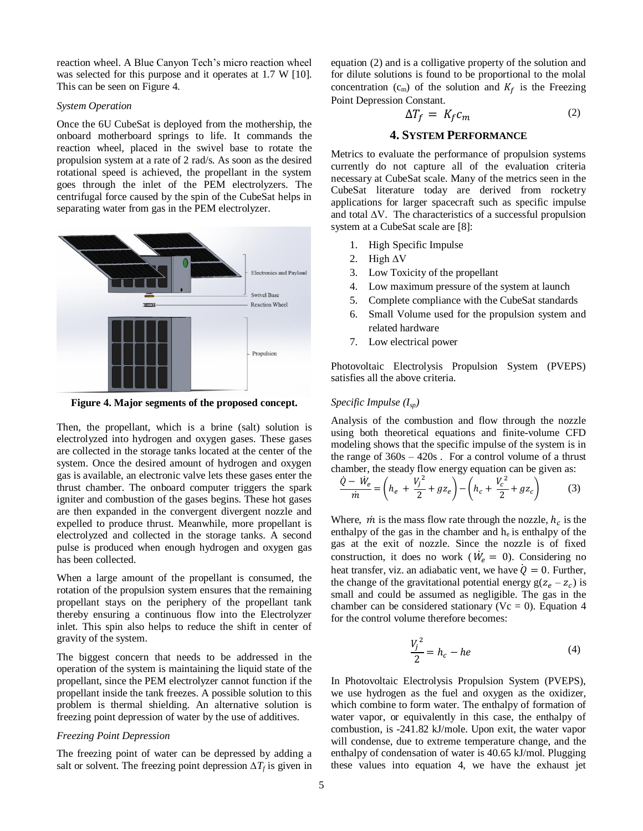reaction wheel. A Blue Canyon Tech's micro reaction wheel was selected for this purpose and it operates at 1.7 W [10]. This can be seen on Figure 4.

#### *System Operation*

Once the 6U CubeSat is deployed from the mothership, the onboard motherboard springs to life. It commands the reaction wheel, placed in the swivel base to rotate the propulsion system at a rate of 2 rad/s. As soon as the desired rotational speed is achieved, the propellant in the system goes through the inlet of the PEM electrolyzers. The centrifugal force caused by the spin of the CubeSat helps in separating water from gas in the PEM electrolyzer.



**Figure 4. Major segments of the proposed concept.**

Then, the propellant, which is a brine (salt) solution is electrolyzed into hydrogen and oxygen gases. These gases are collected in the storage tanks located at the center of the system. Once the desired amount of hydrogen and oxygen gas is available, an electronic valve lets these gases enter the thrust chamber. The onboard computer triggers the spark igniter and combustion of the gases begins. These hot gases are then expanded in the convergent divergent nozzle and expelled to produce thrust. Meanwhile, more propellant is electrolyzed and collected in the storage tanks. A second pulse is produced when enough hydrogen and oxygen gas has been collected.

When a large amount of the propellant is consumed, the rotation of the propulsion system ensures that the remaining propellant stays on the periphery of the propellant tank thereby ensuring a continuous flow into the Electrolyzer inlet. This spin also helps to reduce the shift in center of gravity of the system.

The biggest concern that needs to be addressed in the operation of the system is maintaining the liquid state of the propellant, since the PEM electrolyzer cannot function if the propellant inside the tank freezes. A possible solution to this problem is thermal shielding. An alternative solution is freezing point depression of water by the use of additives.

#### *Freezing Point Depression*

The freezing point of water can be depressed by adding a salt or solvent. The freezing point depression  $\Delta T_f$  is given in equation (2) and is a colligative property of the solution and for dilute solutions is found to be proportional to the molal concentration  $(c_m)$  of the solution and  $K_f$  is the Freezing Point Depression Constant.

$$
\Delta T_f = K_f c_m \tag{2}
$$

## **4. SYSTEM PERFORMANCE**

<span id="page-4-0"></span>Metrics to evaluate the performance of propulsion systems currently do not capture all of the evaluation criteria necessary at CubeSat scale. Many of the metrics seen in the CubeSat literature today are derived from rocketry applications for larger spacecraft such as specific impulse and total ∆V. The characteristics of a successful propulsion system at a CubeSat scale are [8]:

- 1. High Specific Impulse
- 2. High ∆V
- 3. Low Toxicity of the propellant
- 4. Low maximum pressure of the system at launch
- 5. Complete compliance with the CubeSat standards
- 6. Small Volume used for the propulsion system and related hardware
- 7. Low electrical power

Photovoltaic Electrolysis Propulsion System (PVEPS) satisfies all the above criteria.

# *Specific Impulse (Isp)*

Analysis of the combustion and flow through the nozzle using both theoretical equations and finite-volume CFD modeling shows that the specific impulse of the system is in the range of  $360s - 420s$ . For a control volume of a thrust chamber, the steady flow energy equation can be given as:

$$
\frac{\dot{Q} - W_e}{\dot{m}} = \left( h_e + \frac{V_j^2}{2} + gz_e \right) - \left( h_c + \frac{V_c^2}{2} + gz_c \right) \tag{3}
$$

Where,  $\dot{m}$  is the mass flow rate through the nozzle,  $h_c$  is the enthalpy of the gas in the chamber and  $h_e$  is enthalpy of the gas at the exit of nozzle. Since the nozzle is of fixed construction, it does no work ( $\dot{W}_e = 0$ ). Considering no heat transfer, viz. an adiabatic vent, we have  $\dot{Q} = 0$ . Further, the change of the gravitational potential energy  $g(z_e - z_c)$  is small and could be assumed as negligible. The gas in the chamber can be considered stationary ( $Vc = 0$ ). Equation 4 for the control volume therefore becomes:

$$
\frac{V_j^2}{2} = h_c - he \tag{4}
$$

In Photovoltaic Electrolysis Propulsion System (PVEPS), we use hydrogen as the fuel and oxygen as the oxidizer, which combine to form water. The enthalpy of formation of water vapor, or equivalently in this case, the enthalpy of combustion, is -241.82 kJ/mole. Upon exit, the water vapor will condense, due to extreme temperature change, and the enthalpy of condensation of water is 40.65 kJ/mol. Plugging these values into equation 4, we have the exhaust jet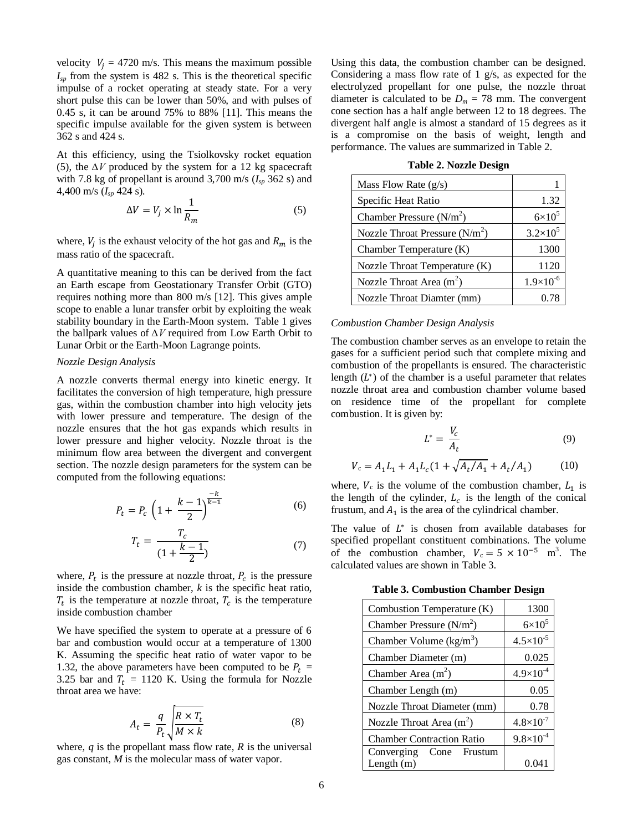velocity  $V_i = 4720$  m/s. This means the maximum possible  $I_{sp}$  from the system is 482 s. This is the theoretical specific impulse of a rocket operating at steady state. For a very short pulse this can be lower than 50%, and with pulses of 0.45 s, it can be around 75% to 88% [11]. This means the specific impulse available for the given system is between 362 s and 424 s.

At this efficiency, using the Tsiolkovsky rocket equation (5), the *∆V* produced by the system for a 12 kg spacecraft with 7.8 kg of propellant is around 3,700 m/s  $(I_{sp} 362 s)$  and 4,400 m/s (*Isp* 424 s).

$$
\Delta V = V_j \times \ln \frac{1}{R_m} \tag{5}
$$

where,  $V_j$  is the exhaust velocity of the hot gas and  $R_m$  is the mass ratio of the spacecraft.

A quantitative meaning to this can be derived from the fact an Earth escape from Geostationary Transfer Orbit (GTO) requires nothing more than 800 m/s [12]. This gives ample scope to enable a lunar transfer orbit by exploiting the weak stability boundary in the Earth-Moon system. Table 1 gives the ballpark values of *∆V* required from Low Earth Orbit to Lunar Orbit or the Earth-Moon Lagrange points.

## *Nozzle Design Analysis*

A nozzle converts thermal energy into kinetic energy. It facilitates the conversion of high temperature, high pressure gas, within the combustion chamber into high velocity jets with lower pressure and temperature. The design of the nozzle ensures that the hot gas expands which results in lower pressure and higher velocity. Nozzle throat is the minimum flow area between the divergent and convergent section. The nozzle design parameters for the system can be computed from the following equations:

$$
P_t = P_c \left( 1 + \frac{k-1}{2} \right)^{\frac{-k}{k-1}} \tag{6}
$$

$$
T_t = \frac{T_c}{(1 + \frac{k - 1}{2})}
$$
 (7)

where,  $P_t$  is the pressure at nozzle throat,  $P_c$  is the pressure inside the combustion chamber, *k* is the specific heat ratio,  $T_t$  is the temperature at nozzle throat,  $T_c$  is the temperature inside combustion chamber

We have specified the system to operate at a pressure of 6 bar and combustion would occur at a temperature of 1300 K. Assuming the specific heat ratio of water vapor to be 1.32, the above parameters have been computed to be  $P_t$  = 3.25 bar and  $T_t = 1120$  K. Using the formula for Nozzle throat area we have:

$$
A_t = \frac{q}{P_t} \sqrt{\frac{R \times T_t}{M \times k}}
$$
 (8)

where,  $q$  is the propellant mass flow rate,  $R$  is the universal gas constant, *M* is the molecular mass of water vapor.

Using this data, the combustion chamber can be designed. Considering a mass flow rate of 1 g/s, as expected for the electrolyzed propellant for one pulse, the nozzle throat diameter is calculated to be  $D_m = 78$  mm. The convergent cone section has a half angle between 12 to 18 degrees. The divergent half angle is almost a standard of 15 degrees as it is a compromise on the basis of weight, length and performance. The values are summarized in Table 2.

| Mass Flow Rate $(g/s)$          |                     |
|---------------------------------|---------------------|
| Specific Heat Ratio             | 1.32                |
| Chamber Pressure $(N/m^2)$      | $6\times10^5$       |
| Nozzle Throat Pressure $(N/m2)$ | $3.2 \times 10^{5}$ |
| Chamber Temperature (K)         | 1300                |
| Nozzle Throat Temperature (K)   | 1120                |
| Nozzle Throat Area $(m2)$       | $1.9\times10^{-6}$  |
| Nozzle Throat Diamter (mm)      | 0.78                |

**Table 2. Nozzle Design**

#### *Combustion Chamber Design Analysis*

The combustion chamber serves as an envelope to retain the gases for a sufficient period such that complete mixing and combustion of the propellants is ensured. The characteristic length  $(L^*)$  of the chamber is a useful parameter that relates nozzle throat area and combustion chamber volume based on residence time of the propellant for complete combustion. It is given by:

$$
L^* = \frac{V_c}{A_t} \tag{9}
$$

$$
V_c = A_1 L_1 + A_1 L_c (1 + \sqrt{A_t / A_1} + A_t / A_1)
$$
 (10)

where,  $V_c$  is the volume of the combustion chamber,  $L_1$  is the length of the cylinder,  $L_c$  is the length of the conical frustum, and  $A_1$  is the area of the cylindrical chamber.

The value of  $L^*$  is chosen from available databases for specified propellant constituent combinations. The volume of the combustion chamber,  $V_c = 5 \times 10^{-5}$  m<sup>3</sup>. The calculated values are shown in Table 3.

**Table 3. Combustion Chamber Design**

| Combustion Temperature (K)       | 1300                 |
|----------------------------------|----------------------|
| Chamber Pressure $(N/m^2)$       | $6\times10^5$        |
| Chamber Volume $(kg/m3)$         | $4.5 \times 10^{-5}$ |
| Chamber Diameter (m)             | 0.025                |
| Chamber Area $(m2)$              | $4.9\times10^{-4}$   |
| Chamber Length (m)               | 0.05                 |
| Nozzle Throat Diameter (mm)      | 0.78                 |
| Nozzle Throat Area $(m^2)$       | $4.8 \times 10^{-7}$ |
| <b>Chamber Contraction Ratio</b> | $9.8\times10^{-4}$   |
| Converging Cone Frustum          |                      |
| Length $(m)$                     | 0.041                |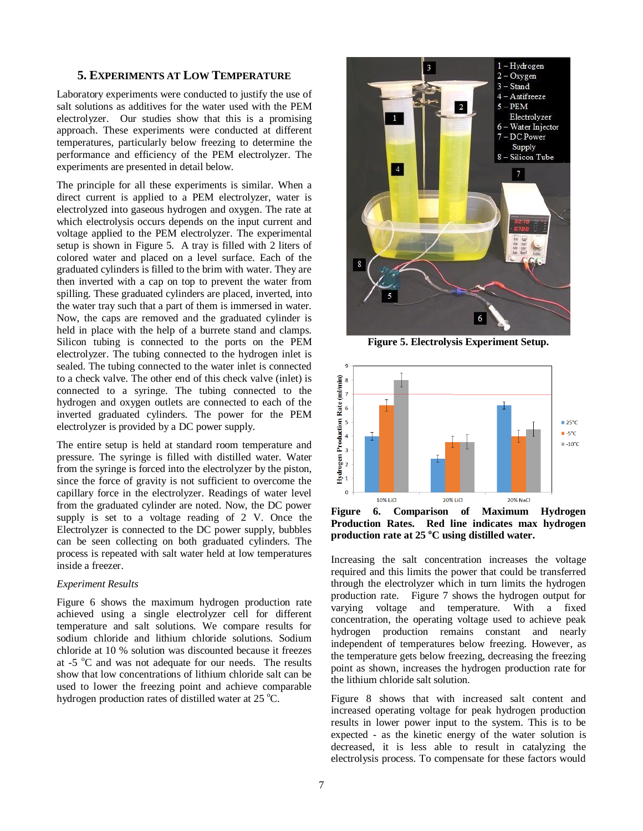# <span id="page-6-0"></span>**5. EXPERIMENTS AT LOW TEMPERATURE**

Laboratory experiments were conducted to justify the use of salt solutions as additives for the water used with the PEM electrolyzer. Our studies show that this is a promising approach. These experiments were conducted at different temperatures, particularly below freezing to determine the performance and efficiency of the PEM electrolyzer. The experiments are presented in detail below.

The principle for all these experiments is similar. When a direct current is applied to a PEM electrolyzer, water is electrolyzed into gaseous hydrogen and oxygen. The rate at which electrolysis occurs depends on the input current and voltage applied to the PEM electrolyzer. The experimental setup is shown in Figure 5. A tray is filled with 2 liters of colored water and placed on a level surface. Each of the graduated cylinders is filled to the brim with water. They are then inverted with a cap on top to prevent the water from spilling. These graduated cylinders are placed, inverted, into the water tray such that a part of them is immersed in water. Now, the caps are removed and the graduated cylinder is held in place with the help of a burrete stand and clamps. Silicon tubing is connected to the ports on the PEM electrolyzer. The tubing connected to the hydrogen inlet is sealed. The tubing connected to the water inlet is connected to a check valve. The other end of this check valve (inlet) is connected to a syringe. The tubing connected to the hydrogen and oxygen outlets are connected to each of the inverted graduated cylinders. The power for the PEM electrolyzer is provided by a DC power supply.

The entire setup is held at standard room temperature and pressure. The syringe is filled with distilled water. Water from the syringe is forced into the electrolyzer by the piston, since the force of gravity is not sufficient to overcome the capillary force in the electrolyzer. Readings of water level from the graduated cylinder are noted. Now, the DC power supply is set to a voltage reading of 2 V. Once the Electrolyzer is connected to the DC power supply, bubbles can be seen collecting on both graduated cylinders. The process is repeated with salt water held at low temperatures inside a freezer.

#### *Experiment Results*

Figure 6 shows the maximum hydrogen production rate achieved using a single electrolyzer cell for different temperature and salt solutions. We compare results for sodium chloride and lithium chloride solutions. Sodium chloride at 10 % solution was discounted because it freezes at  $-5$   $\degree$ C and was not adequate for our needs. The results show that low concentrations of lithium chloride salt can be used to lower the freezing point and achieve comparable hydrogen production rates of distilled water at 25 °C.



**Figure 5. Electrolysis Experiment Setup.**



**Figure 6. Comparison of Maximum Hydrogen Production Rates. Red line indicates max hydrogen production rate at 25 <sup>o</sup>C using distilled water.**

Increasing the salt concentration increases the voltage required and this limits the power that could be transferred through the electrolyzer which in turn limits the hydrogen production rate. Figure 7 shows the hydrogen output for varying voltage and temperature. With a fixed concentration, the operating voltage used to achieve peak hydrogen production remains constant and nearly independent of temperatures below freezing. However, as the temperature gets below freezing, decreasing the freezing point as shown, increases the hydrogen production rate for the lithium chloride salt solution.

Figure 8 shows that with increased salt content and increased operating voltage for peak hydrogen production results in lower power input to the system. This is to be expected - as the kinetic energy of the water solution is decreased, it is less able to result in catalyzing the electrolysis process. To compensate for these factors would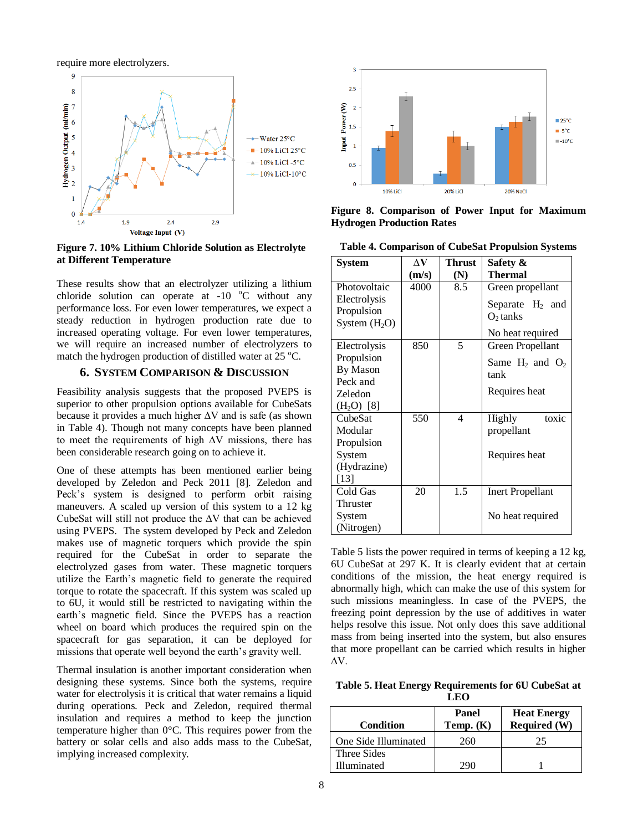require more electrolyzers.



**Figure 7. 10% Lithium Chloride Solution as Electrolyte at Different Temperature**

These results show that an electrolyzer utilizing a lithium chloride solution can operate at  $-10$  °C without any performance loss. For even lower temperatures, we expect a steady reduction in hydrogen production rate due to increased operating voltage. For even lower temperatures, we will require an increased number of electrolyzers to match the hydrogen production of distilled water at  $25^{\circ}$ C.

# **6. SYSTEM COMPARISON & DISCUSSION**

<span id="page-7-0"></span>Feasibility analysis suggests that the proposed PVEPS is superior to other propulsion options available for CubeSats because it provides a much higher ∆V and is safe (as shown in Table 4). Though not many concepts have been planned to meet the requirements of high ∆V missions, there has been considerable research going on to achieve it.

One of these attempts has been mentioned earlier being developed by Zeledon and Peck 2011 [8]. Zeledon and Peck's system is designed to perform orbit raising maneuvers. A scaled up version of this system to a 12 kg CubeSat will still not produce the ∆V that can be achieved using PVEPS. The system developed by Peck and Zeledon makes use of magnetic torquers which provide the spin required for the CubeSat in order to separate the electrolyzed gases from water. These magnetic torquers utilize the Earth's magnetic field to generate the required torque to rotate the spacecraft. If this system was scaled up to 6U, it would still be restricted to navigating within the earth's magnetic field. Since the PVEPS has a reaction wheel on board which produces the required spin on the spacecraft for gas separation, it can be deployed for missions that operate well beyond the earth's gravity well.

Thermal insulation is another important consideration when designing these systems. Since both the systems, require water for electrolysis it is critical that water remains a liquid during operations. Peck and Zeledon, required thermal insulation and requires a method to keep the junction temperature higher than 0°C. This requires power from the battery or solar cells and also adds mass to the CubeSat, implying increased complexity.



**Figure 8. Comparison of Power Input for Maximum Hydrogen Production Rates**

**Table 4. Comparison of CubeSat Propulsion Systems**

| <b>System</b>  | ΔV    | <b>Thrust</b> | Safety &                |
|----------------|-------|---------------|-------------------------|
|                | (m/s) | (N)           | <b>Thermal</b>          |
| Photovoltaic   | 4000  | 8.5           | Green propellant        |
| Electrolysis   |       |               | Separate $H_2$ and      |
| Propulsion     |       |               | $O2$ tanks              |
| System $(H2O)$ |       |               |                         |
|                |       |               | No heat required        |
| Electrolysis   | 850   | 5             | Green Propellant        |
| Propulsion     |       |               | Same $H_2$ and $O_2$    |
| By Mason       |       |               | tank                    |
| Peck and       |       |               |                         |
| Zeledon        |       |               | Requires heat           |
| $(H_2O)$ [8]   |       |               |                         |
| CubeSat        | 550   | 4             | toxic<br>Highly         |
| Modular        |       |               | propellant              |
| Propulsion     |       |               |                         |
| System         |       |               | Requires heat           |
| (Hydrazine)    |       |               |                         |
| $[13]$         |       |               |                         |
| Cold Gas       | 20    | 1.5           | <b>Inert Propellant</b> |
| Thruster       |       |               |                         |
| System         |       |               | No heat required        |
| (Nitrogen)     |       |               |                         |

Table 5 lists the power required in terms of keeping a 12 kg, 6U CubeSat at 297 K. It is clearly evident that at certain conditions of the mission, the heat energy required is abnormally high, which can make the use of this system for such missions meaningless. In case of the PVEPS, the freezing point depression by the use of additives in water helps resolve this issue. Not only does this save additional mass from being inserted into the system, but also ensures that more propellant can be carried which results in higher ∆V.

**Table 5. Heat Energy Requirements for 6U CubeSat at LEO**

| Condition            | Panel<br>Temp. $(K)$ | <b>Heat Energy</b><br><b>Required (W)</b> |
|----------------------|----------------------|-------------------------------------------|
| One Side Illuminated | 260                  | 25                                        |
| Three Sides          |                      |                                           |
| Illuminated          |                      |                                           |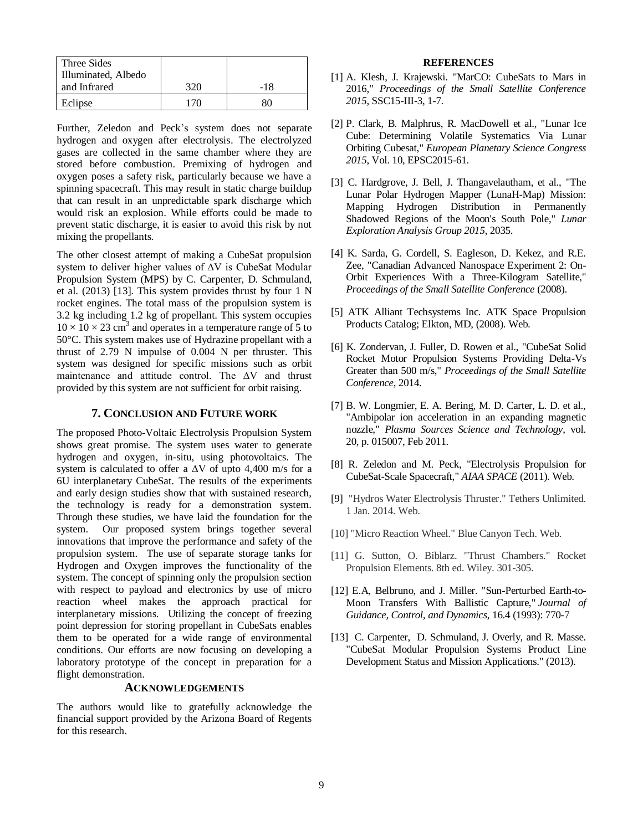| Three Sides         |     |     |
|---------------------|-----|-----|
| Illuminated, Albedo |     |     |
| and Infrared        | 320 | -18 |
| Eclipse             | '76 |     |

Further, Zeledon and Peck's system does not separate hydrogen and oxygen after electrolysis. The electrolyzed gases are collected in the same chamber where they are stored before combustion. Premixing of hydrogen and oxygen poses a safety risk, particularly because we have a spinning spacecraft. This may result in static charge buildup that can result in an unpredictable spark discharge which would risk an explosion. While efforts could be made to prevent static discharge, it is easier to avoid this risk by not mixing the propellants.

The other closest attempt of making a CubeSat propulsion system to deliver higher values of ∆V is CubeSat Modular Propulsion System (MPS) by C. Carpenter, D. Schmuland, et al. (2013) [13]. This system provides thrust by four 1 N rocket engines. The total mass of the propulsion system is 3.2 kg including 1.2 kg of propellant. This system occupies  $10 \times 10 \times 23$  cm<sup>3</sup> and operates in a temperature range of 5 to 50°C. This system makes use of Hydrazine propellant with a thrust of 2.79 N impulse of 0.004 N per thruster. This system was designed for specific missions such as orbit maintenance and attitude control. The ∆V and thrust provided by this system are not sufficient for orbit raising.

## **7. CONCLUSION AND FUTURE WORK**

<span id="page-8-0"></span>The proposed Photo-Voltaic Electrolysis Propulsion System shows great promise. The system uses water to generate hydrogen and oxygen, in-situ, using photovoltaics. The system is calculated to offer a ∆V of upto 4,400 m/s for a 6U interplanetary CubeSat. The results of the experiments and early design studies show that with sustained research, the technology is ready for a demonstration system. Through these studies, we have laid the foundation for the system. Our proposed system brings together several innovations that improve the performance and safety of the propulsion system. The use of separate storage tanks for Hydrogen and Oxygen improves the functionality of the system. The concept of spinning only the propulsion section with respect to payload and electronics by use of micro reaction wheel makes the approach practical for interplanetary missions. Utilizing the concept of freezing point depression for storing propellant in CubeSats enables them to be operated for a wide range of environmental conditions. Our efforts are now focusing on developing a laboratory prototype of the concept in preparation for a flight demonstration.

## **ACKNOWLEDGEMENTS**

The authors would like to gratefully acknowledge the financial support provided by the Arizona Board of Regents for this research.

#### **REFERENCES**

- [1] A. Klesh, J. Krajewski. "MarCO: CubeSats to Mars in 2016," *Proceedings of the Small Satellite Conference 2015*, SSC15-III-3, 1-7.
- [2] P. Clark, B. Malphrus, R. MacDowell et al., "Lunar Ice Cube: Determining Volatile Systematics Via Lunar Orbiting Cubesat," *European Planetary Science Congress 2015*, Vol. 10, EPSC2015-61.
- [3] C. Hardgrove, J. Bell, J. Thangavelautham, et al., "The Lunar Polar Hydrogen Mapper (LunaH-Map) Mission: Mapping Hydrogen Distribution in Permanently Shadowed Regions of the Moon's South Pole," *Lunar Exploration Analysis Group 2015*, 2035.
- [4] K. Sarda, G. Cordell, S. Eagleson, D. Kekez, and R.E. Zee, "Canadian Advanced Nanospace Experiment 2: On-Orbit Experiences With a Three-Kilogram Satellite," *Proceedings of the Small Satellite Conference* (2008).
- [5] ATK Alliant Techsystems Inc. ATK Space Propulsion Products Catalog; Elkton, MD, (2008). Web.
- [6] K. Zondervan, J. Fuller, D. Rowen et al., "CubeSat Solid Rocket Motor Propulsion Systems Providing Delta-Vs Greater than 500 m/s," *Proceedings of the Small Satellite Conference*, 2014.
- [7] B. W. Longmier, E. A. Bering, M. D. Carter, L. D. et al., "Ambipolar ion acceleration in an expanding magnetic nozzle," *Plasma Sources Science and Technology*, vol. 20, p. 015007, Feb 2011.
- [8] R. Zeledon and M. Peck, "Electrolysis Propulsion for CubeSat-Scale Spacecraft," *AIAA SPACE* (2011). Web.
- [9] "Hydros Water Electrolysis Thruster." Tethers Unlimited. 1 Jan. 2014. Web.
- [10] "Micro Reaction Wheel." Blue Canyon Tech. Web.
- [11] G. Sutton, O. Biblarz. "Thrust Chambers." Rocket Propulsion Elements. 8th ed. Wiley. 301-305.
- [12] E.A, Belbruno, and J. Miller. "Sun-Perturbed Earth-to-Moon Transfers With Ballistic Capture," *Journal of Guidance, Control, and Dynamics*, 16.4 (1993): 770-7
- [13] C. Carpenter, D. Schmuland, J. Overly, and R. Masse. "CubeSat Modular Propulsion Systems Product Line Development Status and Mission Applications." (2013).